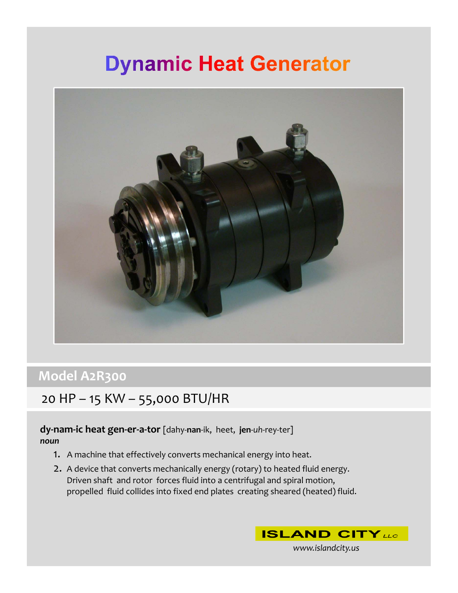# **Dynamic Heat Generator**



### **Model A2R300**

### 20 HP – 15 KW – 55,000 BTU/HR

### **dy‐nam‐ic heat gen‐er‐a‐tor** [dahy‐**nan**‐ik, heet, **jen**‐*uh*‐rey‐ter] *noun*

- 1. A machine that effectively converts mechanical energy into heat.
- 2. A device that converts mechanically energy (rotary) to heated fluid energy. Driven shaft and rotor forces fluid into a centrifugal and spiral motion, propelled fluid collides into fixed end plates creating sheared (heated) fluid.